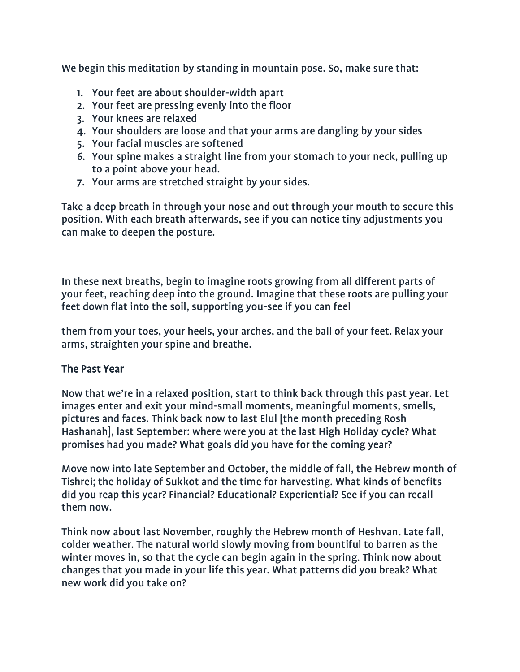We begin this meditation by standing in mountain pose. So, make sure that:

- 1. Your feet are about shoulder-width apart
- 2. Your feet are pressing evenly into the floor
- 3. Your knees are relaxed
- 4. Your shoulders are loose and that your arms are dangling by your sides
- 5. Your facial muscles are softened
- 6. Your spine makes a straight line from your stomach to your neck, pulling up to a point above your head.
- 7. Your arms are stretched straight by your sides.

Take a deep breath in through your nose and out through your mouth to secure this position. With each breath afterwards, see if you can notice tiny adjustments you can make to deepen the posture.

In these next breaths, begin to imagine roots growing from all different parts of your feet, reaching deep into the ground. Imagine that these roots are pulling your feet down flat into the soil, supporting you-see if you can feel

them from your toes, your heels, your arches, and the ball of your feet. Relax your arms, straighten your spine and breathe.

## The Past Year

Now that we're in a relaxed position, start to think back through this past year. Let images enter and exit your mind-small moments, meaningful moments, smells, pictures and faces. Think back now to last Elul [the month preceding Rosh Hashanah], last September: where were you at the last High Holiday cycle? What promises had you made? What goals did you have for the coming year?

Move now into late September and October, the middle of fall, the Hebrew month of Tishrei; the holiday of Sukkot and the time for harvesting. What kinds of benefits did you reap this year? Financial? Educational? Experiential? See if you can recall them now.

Think now about last November, roughly the Hebrew month of Heshvan. Late fall, colder weather. The natural world slowly moving from bountiful to barren as the winter moves in, so that the cycle can begin again in the spring. Think now about changes that you made in your life this year. What patterns did you break? What new work did you take on?